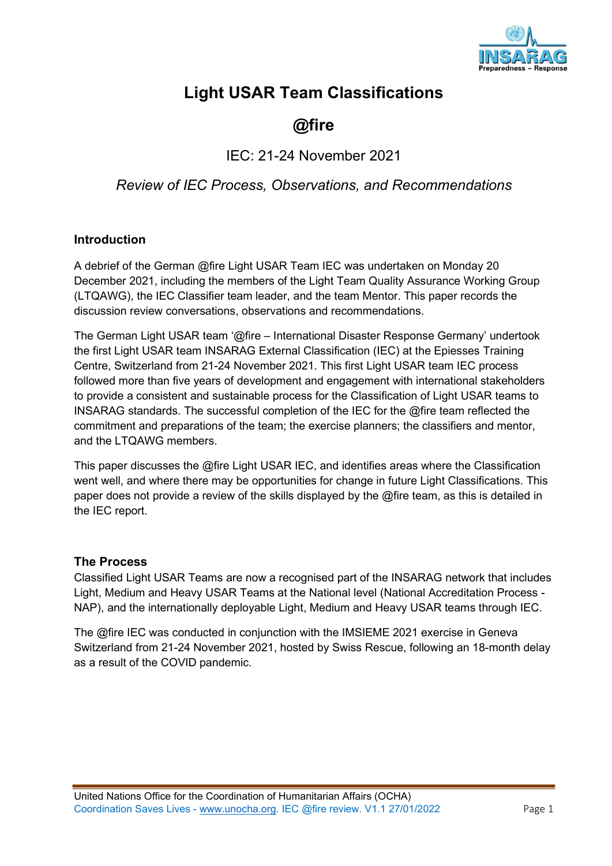

# Light USAR Team Classifications

# @fire

IEC: 21-24 November 2021

Review of IEC Process, Observations, and Recommendations

### Introduction

A debrief of the German @fire Light USAR Team IEC was undertaken on Monday 20 December 2021, including the members of the Light Team Quality Assurance Working Group (LTQAWG), the IEC Classifier team leader, and the team Mentor. This paper records the discussion review conversations, observations and recommendations.

The German Light USAR team '@fire – International Disaster Response Germany' undertook the first Light USAR team INSARAG External Classification (IEC) at the Epiesses Training Centre, Switzerland from 21-24 November 2021. This first Light USAR team IEC process followed more than five years of development and engagement with international stakeholders to provide a consistent and sustainable process for the Classification of Light USAR teams to INSARAG standards. The successful completion of the IEC for the @fire team reflected the commitment and preparations of the team; the exercise planners; the classifiers and mentor, and the LTQAWG members.

This paper discusses the @fire Light USAR IEC, and identifies areas where the Classification went well, and where there may be opportunities for change in future Light Classifications. This paper does not provide a review of the skills displayed by the @fire team, as this is detailed in the IEC report.

#### The Process

Classified Light USAR Teams are now a recognised part of the INSARAG network that includes Light, Medium and Heavy USAR Teams at the National level (National Accreditation Process - NAP), and the internationally deployable Light, Medium and Heavy USAR teams through IEC.

The @fire IEC was conducted in conjunction with the IMSIEME 2021 exercise in Geneva Switzerland from 21-24 November 2021, hosted by Swiss Rescue, following an 18-month delay as a result of the COVID pandemic.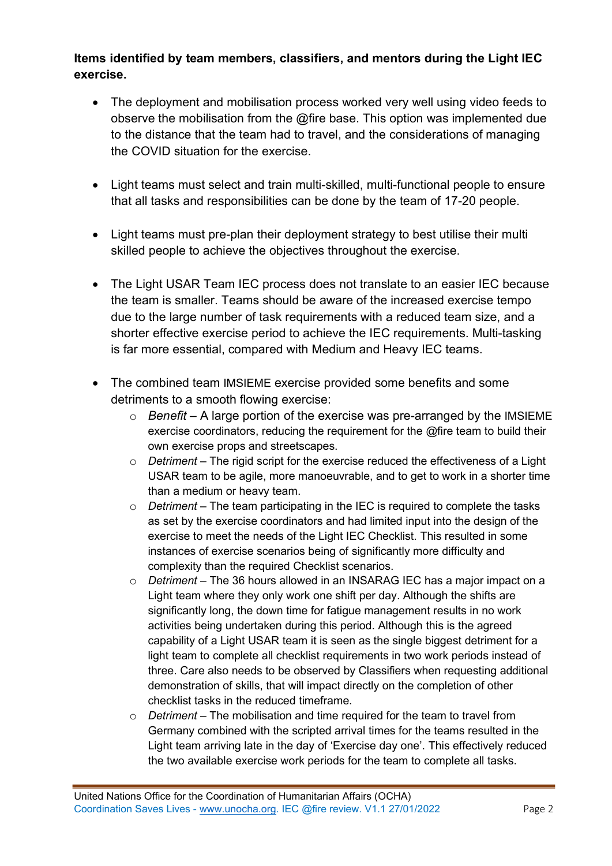# Items identified by team members, classifiers, and mentors during the Light IEC exercise.

- The deployment and mobilisation process worked very well using video feeds to observe the mobilisation from the @fire base. This option was implemented due to the distance that the team had to travel, and the considerations of managing the COVID situation for the exercise.
- Light teams must select and train multi-skilled, multi-functional people to ensure that all tasks and responsibilities can be done by the team of 17-20 people.
- Light teams must pre-plan their deployment strategy to best utilise their multi skilled people to achieve the objectives throughout the exercise.
- The Light USAR Team IEC process does not translate to an easier IEC because the team is smaller. Teams should be aware of the increased exercise tempo due to the large number of task requirements with a reduced team size, and a shorter effective exercise period to achieve the IEC requirements. Multi-tasking is far more essential, compared with Medium and Heavy IEC teams.
- The combined team IMSIEME exercise provided some benefits and some detriments to a smooth flowing exercise:
	- $\circ$  Benefit A large portion of the exercise was pre-arranged by the IMSIEME exercise coordinators, reducing the requirement for the @fire team to build their own exercise props and streetscapes.
	- $\circ$  Detriment The rigid script for the exercise reduced the effectiveness of a Light USAR team to be agile, more manoeuvrable, and to get to work in a shorter time than a medium or heavy team.
	- $\circ$  Detriment The team participating in the IEC is required to complete the tasks as set by the exercise coordinators and had limited input into the design of the exercise to meet the needs of the Light IEC Checklist. This resulted in some instances of exercise scenarios being of significantly more difficulty and complexity than the required Checklist scenarios.
	- o Detriment The 36 hours allowed in an INSARAG IEC has a major impact on a Light team where they only work one shift per day. Although the shifts are significantly long, the down time for fatigue management results in no work activities being undertaken during this period. Although this is the agreed capability of a Light USAR team it is seen as the single biggest detriment for a light team to complete all checklist requirements in two work periods instead of three. Care also needs to be observed by Classifiers when requesting additional demonstration of skills, that will impact directly on the completion of other checklist tasks in the reduced timeframe.
	- $\circ$  Detriment The mobilisation and time required for the team to travel from Germany combined with the scripted arrival times for the teams resulted in the Light team arriving late in the day of 'Exercise day one'. This effectively reduced the two available exercise work periods for the team to complete all tasks.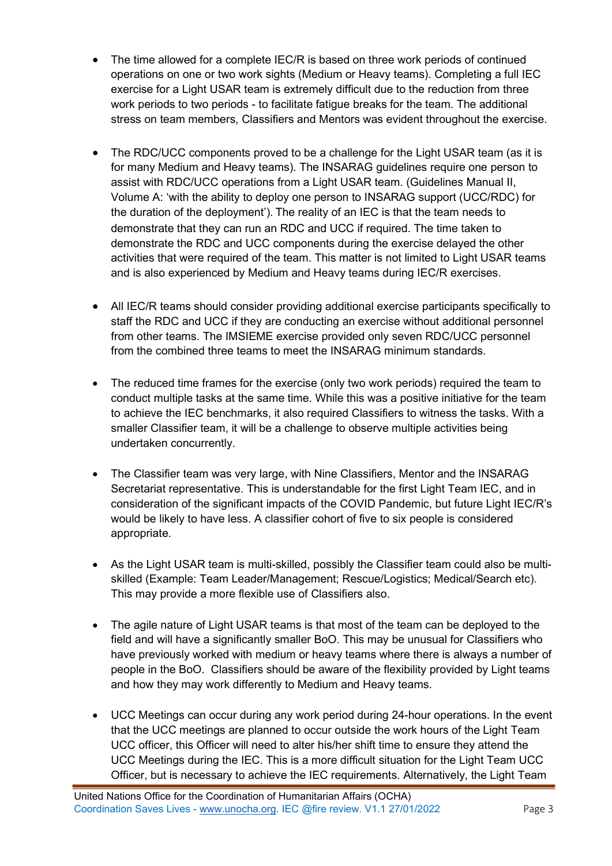- The time allowed for a complete IEC/R is based on three work periods of continued operations on one or two work sights (Medium or Heavy teams). Completing a full IEC exercise for a Light USAR team is extremely difficult due to the reduction from three work periods to two periods - to facilitate fatigue breaks for the team. The additional stress on team members, Classifiers and Mentors was evident throughout the exercise.
- The RDC/UCC components proved to be a challenge for the Light USAR team (as it is for many Medium and Heavy teams). The INSARAG guidelines require one person to assist with RDC/UCC operations from a Light USAR team. (Guidelines Manual II, Volume A: 'with the ability to deploy one person to INSARAG support (UCC/RDC) for the duration of the deployment'). The reality of an IEC is that the team needs to demonstrate that they can run an RDC and UCC if required. The time taken to demonstrate the RDC and UCC components during the exercise delayed the other activities that were required of the team. This matter is not limited to Light USAR teams and is also experienced by Medium and Heavy teams during IEC/R exercises.
- All IEC/R teams should consider providing additional exercise participants specifically to staff the RDC and UCC if they are conducting an exercise without additional personnel from other teams. The IMSIEME exercise provided only seven RDC/UCC personnel from the combined three teams to meet the INSARAG minimum standards.
- The reduced time frames for the exercise (only two work periods) required the team to conduct multiple tasks at the same time. While this was a positive initiative for the team to achieve the IEC benchmarks, it also required Classifiers to witness the tasks. With a smaller Classifier team, it will be a challenge to observe multiple activities being undertaken concurrently.
- The Classifier team was very large, with Nine Classifiers, Mentor and the INSARAG Secretariat representative. This is understandable for the first Light Team IEC, and in consideration of the significant impacts of the COVID Pandemic, but future Light IEC/R's would be likely to have less. A classifier cohort of five to six people is considered appropriate.
- As the Light USAR team is multi-skilled, possibly the Classifier team could also be multiskilled (Example: Team Leader/Management; Rescue/Logistics; Medical/Search etc). This may provide a more flexible use of Classifiers also.
- The agile nature of Light USAR teams is that most of the team can be deployed to the field and will have a significantly smaller BoO. This may be unusual for Classifiers who have previously worked with medium or heavy teams where there is always a number of people in the BoO. Classifiers should be aware of the flexibility provided by Light teams and how they may work differently to Medium and Heavy teams.
- UCC Meetings can occur during any work period during 24-hour operations. In the event that the UCC meetings are planned to occur outside the work hours of the Light Team UCC officer, this Officer will need to alter his/her shift time to ensure they attend the UCC Meetings during the IEC. This is a more difficult situation for the Light Team UCC Officer, but is necessary to achieve the IEC requirements. Alternatively, the Light Team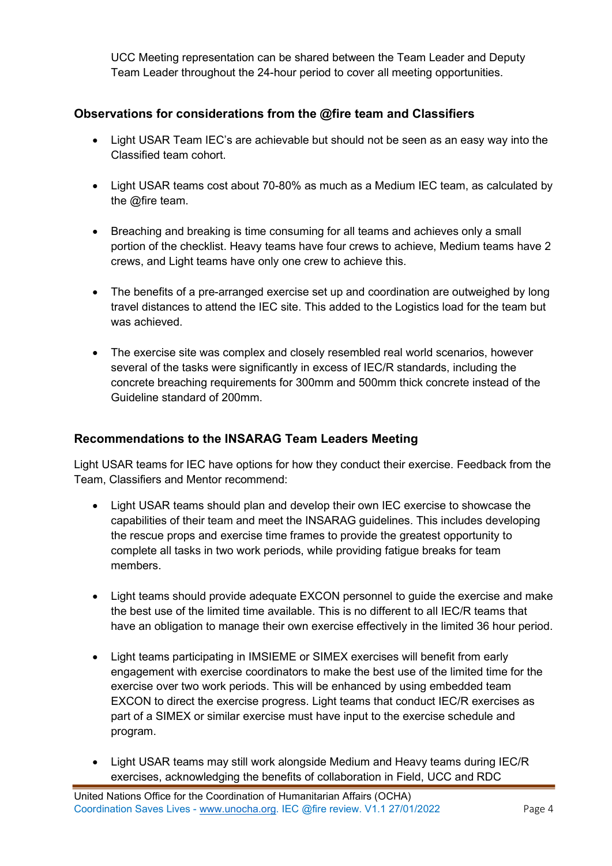UCC Meeting representation can be shared between the Team Leader and Deputy Team Leader throughout the 24-hour period to cover all meeting opportunities.

## Observations for considerations from the @fire team and Classifiers

- Light USAR Team IEC's are achievable but should not be seen as an easy way into the Classified team cohort.
- Light USAR teams cost about 70-80% as much as a Medium IEC team, as calculated by the @fire team.
- Breaching and breaking is time consuming for all teams and achieves only a small portion of the checklist. Heavy teams have four crews to achieve, Medium teams have 2 crews, and Light teams have only one crew to achieve this.
- The benefits of a pre-arranged exercise set up and coordination are outweighed by long travel distances to attend the IEC site. This added to the Logistics load for the team but was achieved.
- The exercise site was complex and closely resembled real world scenarios, however several of the tasks were significantly in excess of IEC/R standards, including the concrete breaching requirements for 300mm and 500mm thick concrete instead of the Guideline standard of 200mm.

## Recommendations to the INSARAG Team Leaders Meeting

Light USAR teams for IEC have options for how they conduct their exercise. Feedback from the Team, Classifiers and Mentor recommend:

- Light USAR teams should plan and develop their own IEC exercise to showcase the capabilities of their team and meet the INSARAG guidelines. This includes developing the rescue props and exercise time frames to provide the greatest opportunity to complete all tasks in two work periods, while providing fatigue breaks for team members.
- Light teams should provide adequate EXCON personnel to guide the exercise and make the best use of the limited time available. This is no different to all IEC/R teams that have an obligation to manage their own exercise effectively in the limited 36 hour period.
- Light teams participating in IMSIEME or SIMEX exercises will benefit from early engagement with exercise coordinators to make the best use of the limited time for the exercise over two work periods. This will be enhanced by using embedded team EXCON to direct the exercise progress. Light teams that conduct IEC/R exercises as part of a SIMEX or similar exercise must have input to the exercise schedule and program.
- Light USAR teams may still work alongside Medium and Heavy teams during IEC/R exercises, acknowledging the benefits of collaboration in Field, UCC and RDC